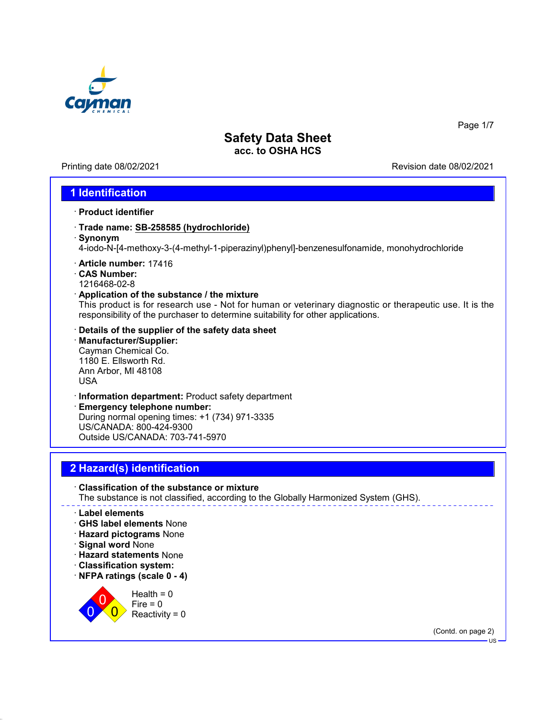

Printing date 08/02/2021 Revision date 08/02/2021

Page 1/7

## **1 Identification**

- · **Product identifier**
- · **Trade name: SB-258585 (hydrochloride)**
- · **Synonym**

4-iodo-N-[4-methoxy-3-(4-methyl-1-piperazinyl)phenyl]-benzenesulfonamide, monohydrochloride

- · **Article number:** 17416
- · **CAS Number:** 1216468-02-8
- · **Application of the substance / the mixture**

This product is for research use - Not for human or veterinary diagnostic or therapeutic use. It is the responsibility of the purchaser to determine suitability for other applications.

- · **Details of the supplier of the safety data sheet**
- · **Manufacturer/Supplier:** Cayman Chemical Co. 1180 E. Ellsworth Rd. Ann Arbor, MI 48108 USA
- · **Information department:** Product safety department

· **Emergency telephone number:** During normal opening times: +1 (734) 971-3335 US/CANADA: 800-424-9300 Outside US/CANADA: 703-741-5970

# **2 Hazard(s) identification**

· **Classification of the substance or mixture** The substance is not classified, according to the Globally Harmonized System (GHS).

#### · **Label elements**

- · **GHS label elements** None
- · **Hazard pictograms** None
- · **Signal word** None

 $\overline{0}$ 0  $\overline{\mathbf{0}}$ 

- · **Hazard statements** None
- · **Classification system:**
- · **NFPA ratings (scale 0 4)**

 $Health = 0$  $Fire = 0$  $Reactivity = 0$ 

(Contd. on page 2)

US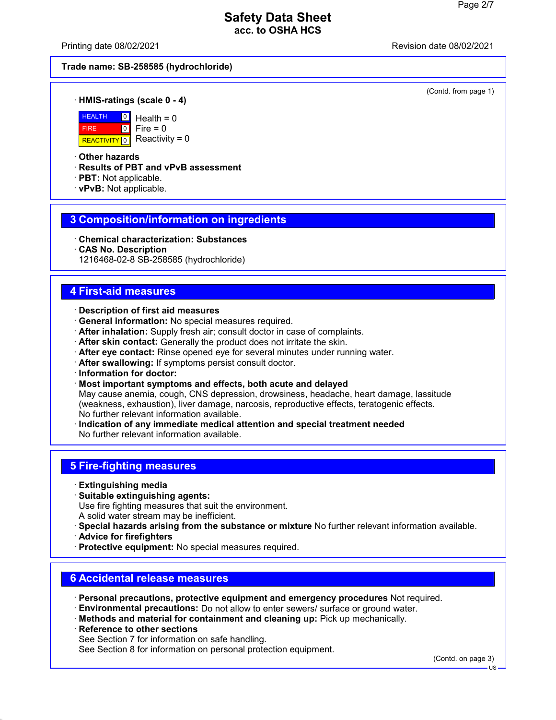Printing date 08/02/2021 Revision date 08/02/2021

#### **Trade name: SB-258585 (hydrochloride)**

(Contd. from page 1)

#### · **HMIS-ratings (scale 0 - 4)**



 $Health = 0$  $Fire = 0$ Reactivity =  $0$ 

#### · **Other hazards**

· **Results of PBT and vPvB assessment**

- · **PBT:** Not applicable.
- · **vPvB:** Not applicable.

#### **3 Composition/information on ingredients**

- · **Chemical characterization: Substances**
- · **CAS No. Description**

1216468-02-8 SB-258585 (hydrochloride)

#### **4 First-aid measures**

- · **Description of first aid measures**
- · **General information:** No special measures required.
- · **After inhalation:** Supply fresh air; consult doctor in case of complaints.
- · **After skin contact:** Generally the product does not irritate the skin.
- · **After eye contact:** Rinse opened eye for several minutes under running water.
- · **After swallowing:** If symptoms persist consult doctor.
- · **Information for doctor:**
- · **Most important symptoms and effects, both acute and delayed**

May cause anemia, cough, CNS depression, drowsiness, headache, heart damage, lassitude (weakness, exhaustion), liver damage, narcosis, reproductive effects, teratogenic effects. No further relevant information available.

· **Indication of any immediate medical attention and special treatment needed** No further relevant information available.

#### **5 Fire-fighting measures**

- · **Extinguishing media**
- · **Suitable extinguishing agents:** Use fire fighting measures that suit the environment. A solid water stream may be inefficient.
- · **Special hazards arising from the substance or mixture** No further relevant information available.
- · **Advice for firefighters**
- · **Protective equipment:** No special measures required.

#### **6 Accidental release measures**

- · **Personal precautions, protective equipment and emergency procedures** Not required.
- · **Environmental precautions:** Do not allow to enter sewers/ surface or ground water.
- · **Methods and material for containment and cleaning up:** Pick up mechanically.
- **Reference to other sections**
- See Section 7 for information on safe handling.

See Section 8 for information on personal protection equipment.

(Contd. on page 3)

US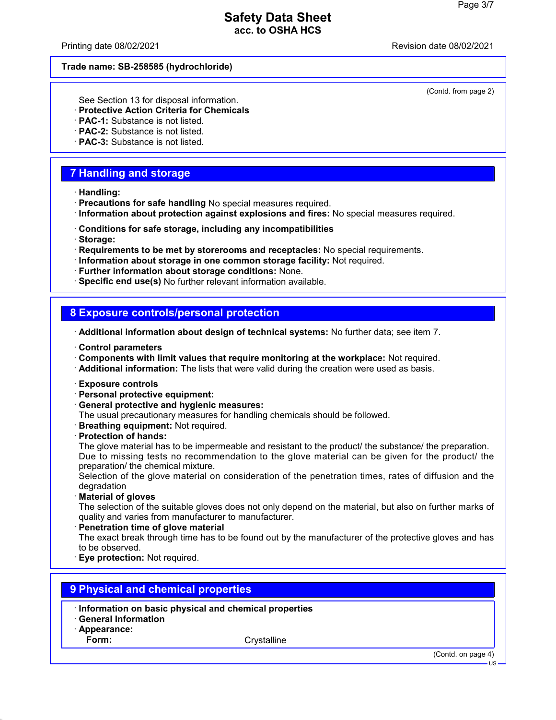Printing date 08/02/2021 **Printing date 08/02/2021** 

#### **Trade name: SB-258585 (hydrochloride)**

(Contd. from page 2)

See Section 13 for disposal information.

- · **Protective Action Criteria for Chemicals**
- · **PAC-1:** Substance is not listed.
- · **PAC-2:** Substance is not listed.
- · **PAC-3:** Substance is not listed.

## **7 Handling and storage**

- · **Handling:**
- · **Precautions for safe handling** No special measures required.
- · **Information about protection against explosions and fires:** No special measures required.
- · **Conditions for safe storage, including any incompatibilities**
- · **Storage:**
- · **Requirements to be met by storerooms and receptacles:** No special requirements.
- · **Information about storage in one common storage facility:** Not required.
- · **Further information about storage conditions:** None.
- · **Specific end use(s)** No further relevant information available.

### **8 Exposure controls/personal protection**

· **Additional information about design of technical systems:** No further data; see item 7.

- · **Control parameters**
- · **Components with limit values that require monitoring at the workplace:** Not required.
- · **Additional information:** The lists that were valid during the creation were used as basis.
- · **Exposure controls**
- · **Personal protective equipment:**
- · **General protective and hygienic measures:**

The usual precautionary measures for handling chemicals should be followed.

- · **Breathing equipment:** Not required.
- · **Protection of hands:**

The glove material has to be impermeable and resistant to the product/ the substance/ the preparation. Due to missing tests no recommendation to the glove material can be given for the product/ the preparation/ the chemical mixture.

Selection of the glove material on consideration of the penetration times, rates of diffusion and the degradation

· **Material of gloves**

The selection of the suitable gloves does not only depend on the material, but also on further marks of quality and varies from manufacturer to manufacturer.

· **Penetration time of glove material**

The exact break through time has to be found out by the manufacturer of the protective gloves and has to be observed.

· **Eye protection:** Not required.

## **9 Physical and chemical properties**

- · **Information on basic physical and chemical properties**
- · **General Information**
- · **Appearance:**

Form: Crystalline

(Contd. on page 4)

US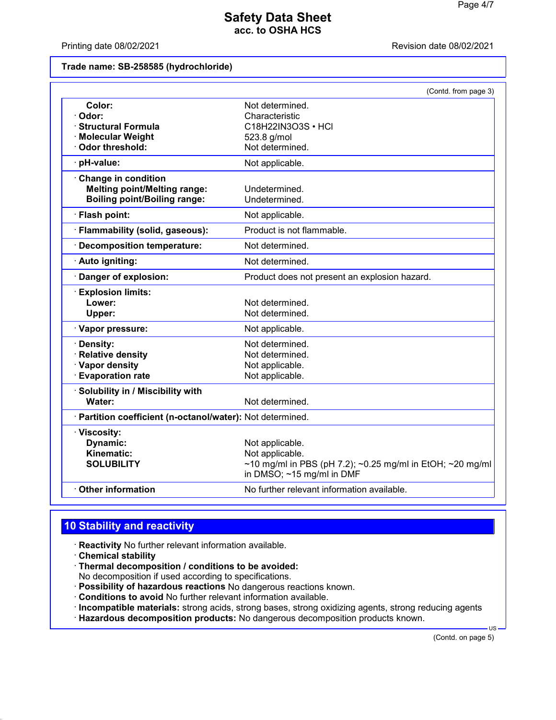Printing date 08/02/2021 **Printing date 08/02/2021** 

#### **Trade name: SB-258585 (hydrochloride)**

|                                                                                                   | (Contd. from page 3)                                                                                                               |
|---------------------------------------------------------------------------------------------------|------------------------------------------------------------------------------------------------------------------------------------|
| Color:<br>Odor:<br><b>Structural Formula</b><br>· Molecular Weight<br><b>Odor threshold:</b>      | Not determined.<br>Characteristic<br>C18H22IN3O3S • HCI<br>523.8 g/mol<br>Not determined.                                          |
| pH-value:                                                                                         | Not applicable.                                                                                                                    |
| Change in condition<br><b>Melting point/Melting range:</b><br><b>Boiling point/Boiling range:</b> | Undetermined.<br>Undetermined.                                                                                                     |
| · Flash point:                                                                                    | Not applicable.                                                                                                                    |
| · Flammability (solid, gaseous):                                                                  | Product is not flammable.                                                                                                          |
| Decomposition temperature:                                                                        | Not determined.                                                                                                                    |
| Auto igniting:                                                                                    | Not determined.                                                                                                                    |
| Danger of explosion:                                                                              | Product does not present an explosion hazard.                                                                                      |
| <b>Explosion limits:</b><br>Lower:<br>Upper:<br>· Vapor pressure:                                 | Not determined.<br>Not determined.<br>Not applicable.                                                                              |
| Density:<br>· Relative density<br>· Vapor density<br><b>Evaporation rate</b>                      | Not determined.<br>Not determined.<br>Not applicable.<br>Not applicable.                                                           |
| · Solubility in / Miscibility with<br>Water:                                                      | Not determined.                                                                                                                    |
| · Partition coefficient (n-octanol/water): Not determined.                                        |                                                                                                                                    |
| · Viscosity:<br>Dynamic:<br>Kinematic:<br><b>SOLUBILITY</b>                                       | Not applicable.<br>Not applicable.<br>~10 mg/ml in PBS (pH 7.2); ~0.25 mg/ml in EtOH; ~20 mg/ml<br>in DMSO; $\sim$ 15 mg/ml in DMF |
| <b>Other information</b>                                                                          | No further relevant information available.                                                                                         |

# **10 Stability and reactivity**

- · **Reactivity** No further relevant information available.
- · **Chemical stability**
- · **Thermal decomposition / conditions to be avoided:** No decomposition if used according to specifications.
- · **Possibility of hazardous reactions** No dangerous reactions known.
- · **Conditions to avoid** No further relevant information available.
- · **Incompatible materials:** strong acids, strong bases, strong oxidizing agents, strong reducing agents · **Hazardous decomposition products:** No dangerous decomposition products known.

(Contd. on page 5)

US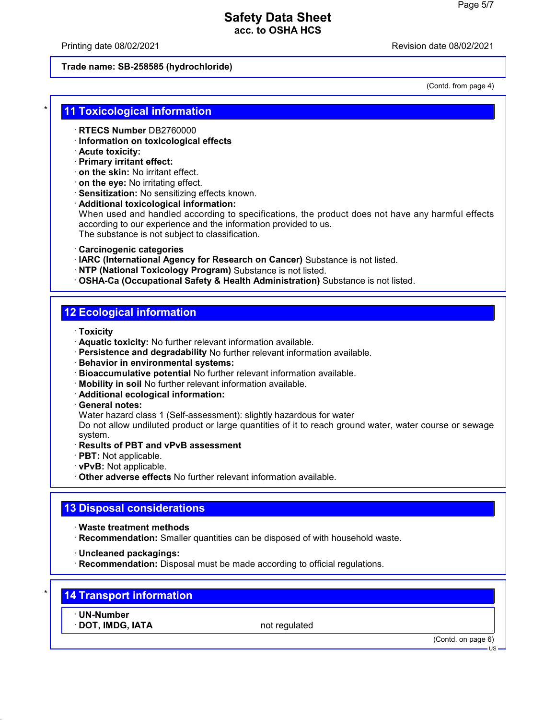Printing date 08/02/2021 Revision date 08/02/2021

#### **Trade name: SB-258585 (hydrochloride)**

(Contd. from page 4)

#### **11 Toxicological information**

- · **RTECS Number** DB2760000
- · **Information on toxicological effects**
- · **Acute toxicity:**
- · **Primary irritant effect:**
- · **on the skin:** No irritant effect.
- · **on the eye:** No irritating effect.
- · **Sensitization:** No sensitizing effects known.
- · **Additional toxicological information:**

When used and handled according to specifications, the product does not have any harmful effects according to our experience and the information provided to us. The substance is not subject to classification.

- · **Carcinogenic categories**
- · **IARC (International Agency for Research on Cancer)** Substance is not listed.
- · **NTP (National Toxicology Program)** Substance is not listed.
- · **OSHA-Ca (Occupational Safety & Health Administration)** Substance is not listed.

## **12 Ecological information**

- · **Toxicity**
- · **Aquatic toxicity:** No further relevant information available.
- · **Persistence and degradability** No further relevant information available.
- · **Behavior in environmental systems:**
- · **Bioaccumulative potential** No further relevant information available.
- · **Mobility in soil** No further relevant information available.
- · **Additional ecological information:**
- · **General notes:**

Water hazard class 1 (Self-assessment): slightly hazardous for water

Do not allow undiluted product or large quantities of it to reach ground water, water course or sewage system.

- · **Results of PBT and vPvB assessment**
- · **PBT:** Not applicable.
- · **vPvB:** Not applicable.
- · **Other adverse effects** No further relevant information available.

### **13 Disposal considerations**

- · **Waste treatment methods**
- · **Recommendation:** Smaller quantities can be disposed of with household waste.
- · **Uncleaned packagings:**
- · **Recommendation:** Disposal must be made according to official regulations.

# **14 Transport information**

· **UN-Number**

**· DOT, IMDG, IATA** not regulated

(Contd. on page 6)

US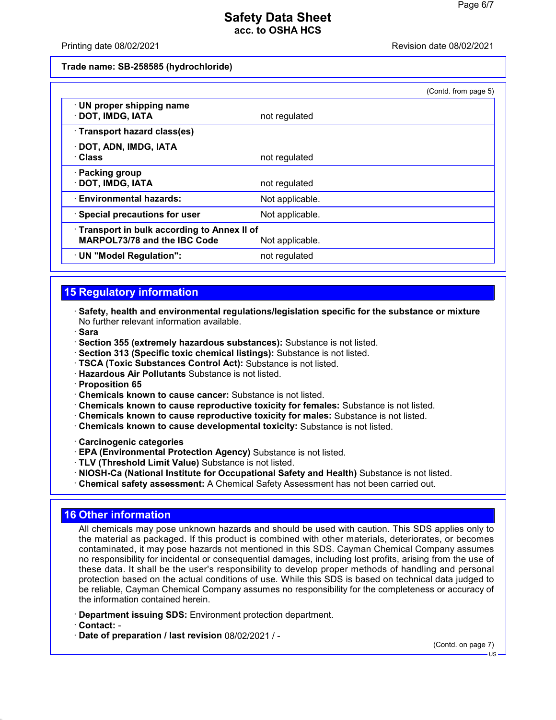#### Printing date 08/02/2021 Revision date 08/02/2021

**Trade name: SB-258585 (hydrochloride)**

|                                                                            |                 | (Contd. from page 5) |
|----------------------------------------------------------------------------|-----------------|----------------------|
| · UN proper shipping name<br>DOT, IMDG, IATA                               | not regulated   |                      |
| Transport hazard class(es)                                                 |                 |                      |
| · DOT, ADN, IMDG, IATA<br>· Class                                          | not regulated   |                      |
| · Packing group<br>· DOT, IMDG, IATA                                       | not regulated   |                      |
| · Environmental hazards:                                                   | Not applicable. |                      |
| · Special precautions for user                                             | Not applicable. |                      |
| Transport in bulk according to Annex II of<br>MARPOL73/78 and the IBC Code | Not applicable. |                      |
| · UN "Model Regulation":                                                   | not regulated   |                      |

# **15 Regulatory information**

· **Safety, health and environmental regulations/legislation specific for the substance or mixture** No further relevant information available.

· **Sara**

- · **Section 355 (extremely hazardous substances):** Substance is not listed.
- · **Section 313 (Specific toxic chemical listings):** Substance is not listed.
- · **TSCA (Toxic Substances Control Act):** Substance is not listed.
- · **Hazardous Air Pollutants** Substance is not listed.
- · **Proposition 65**
- · **Chemicals known to cause cancer:** Substance is not listed.
- · **Chemicals known to cause reproductive toxicity for females:** Substance is not listed.
- · **Chemicals known to cause reproductive toxicity for males:** Substance is not listed.
- · **Chemicals known to cause developmental toxicity:** Substance is not listed.
- · **Carcinogenic categories**
- · **EPA (Environmental Protection Agency)** Substance is not listed.
- · **TLV (Threshold Limit Value)** Substance is not listed.
- · **NIOSH-Ca (National Institute for Occupational Safety and Health)** Substance is not listed.
- · **Chemical safety assessment:** A Chemical Safety Assessment has not been carried out.

### **16 Other information**

All chemicals may pose unknown hazards and should be used with caution. This SDS applies only to the material as packaged. If this product is combined with other materials, deteriorates, or becomes contaminated, it may pose hazards not mentioned in this SDS. Cayman Chemical Company assumes no responsibility for incidental or consequential damages, including lost profits, arising from the use of these data. It shall be the user's responsibility to develop proper methods of handling and personal protection based on the actual conditions of use. While this SDS is based on technical data judged to be reliable, Cayman Chemical Company assumes no responsibility for the completeness or accuracy of the information contained herein.

· **Department issuing SDS:** Environment protection department.

· **Contact:** -

· **Date of preparation / last revision** 08/02/2021 / -

(Contd. on page 7)

US